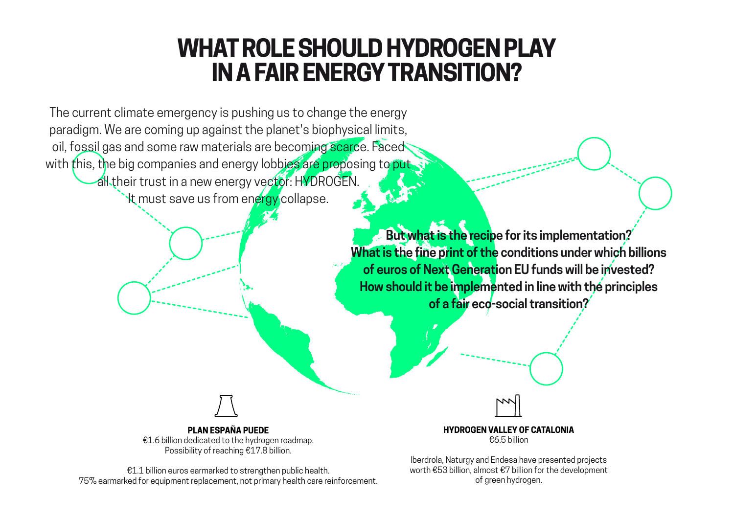## **WHAT ROLE SHOULD HYDROGEN PLAY IN A FAIR ENERGY TRANSITION?**

The current climate emergency is pushing us to change the energy paradigm. We are coming up against the planet's biophysical limits, oil, fossil gas and some raw materials are becoming scarce. Faced with this, the big companies and energy lobbies are proposing to put

all their trust in a new energy vector: HYDROGEN.

**It must save us from energy collapse.** 

**But what is the recipe for its implementation? What is the fine print of the conditions under which billions of euros of Next Generation EU funds will be invested? How should it be implemented in line with the principles of a fair eco-social transition?**

**PLAN ESPAÑA PUEDE**

€1.6 billion dedicated to the hydrogen roadmap. Possibility of reaching €17.8 billion.

€1.1 billion euros earmarked to strengthen public health. 75% earmarked for equipment replacement, not primary health care reinforcement. **HYDROGEN VALLEY OF CATALONIA** €6.5 billion

Iberdrola, Naturgy and Endesa have presented projects worth €53 billion, almost €7 billion for the development of green hydrogen.